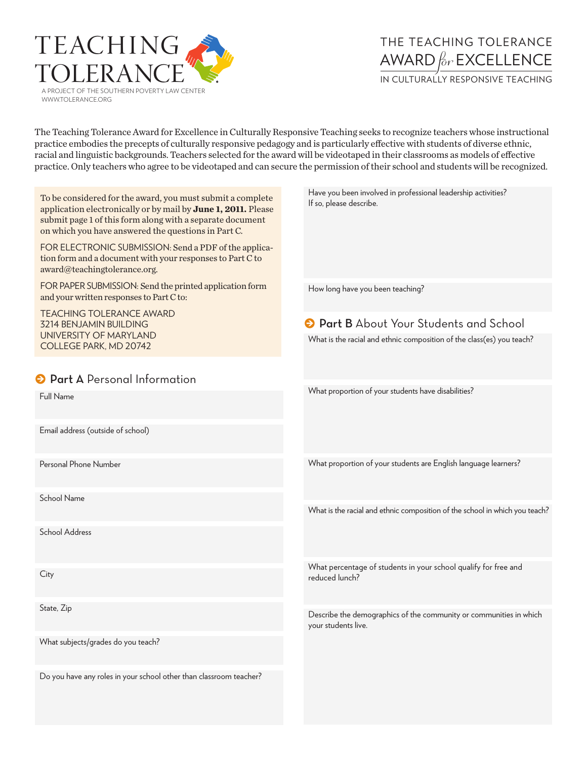

## The Teaching Tolerance Award *for*Excellence

IN CULTURALLY RESPONSIVE TEACHING

The Teaching Tolerance Award for Excellence in Culturally Responsive Teaching seeks to recognize teachers whose instructional practice embodies the precepts of culturally responsive pedagogy and is particularly effective with students of diverse ethnic, racial and linguistic backgrounds. Teachers selected for the award will be videotaped in their classrooms as models of effective practice. Only teachers who agree to be videotaped and can secure the permission of their school and students will be recognized.

| To be considered for the award, you must submit a complete<br>application electronically or by mail by June 1, 2011. Please<br>submit page 1 of this form along with a separate document<br>on which you have answered the questions in Part C.<br>FOR ELECTRONIC SUBMISSION: Send a PDF of the applica-<br>tion form and a document with your responses to Part C to<br>award@teachingtolerance.org. | Have you been involved in professional leadership activities?<br>If so, please describe.                                |
|-------------------------------------------------------------------------------------------------------------------------------------------------------------------------------------------------------------------------------------------------------------------------------------------------------------------------------------------------------------------------------------------------------|-------------------------------------------------------------------------------------------------------------------------|
| FOR PAPER SUBMISSION: Send the printed application form<br>and your written responses to Part C to:                                                                                                                                                                                                                                                                                                   | How long have you been teaching?                                                                                        |
| <b>TEACHING TOLERANCE AWARD</b><br>3214 BENJAMIN BUILDING<br>UNIVERSITY OF MARYLAND<br>COLLEGE PARK, MD 20742                                                                                                                                                                                                                                                                                         | <b>O</b> Part B About Your Students and School<br>What is the racial and ethnic composition of the class(es) you teach? |
| <b>O</b> Part A Personal Information                                                                                                                                                                                                                                                                                                                                                                  | What proportion of your students have disabilities?                                                                     |
| Full Name                                                                                                                                                                                                                                                                                                                                                                                             |                                                                                                                         |
| Email address (outside of school)                                                                                                                                                                                                                                                                                                                                                                     |                                                                                                                         |
| Personal Phone Number                                                                                                                                                                                                                                                                                                                                                                                 | What proportion of your students are English language learners?                                                         |
| School Name                                                                                                                                                                                                                                                                                                                                                                                           | What is the racial and ethnic composition of the school in which you teach?                                             |
| <b>School Address</b>                                                                                                                                                                                                                                                                                                                                                                                 |                                                                                                                         |
| City                                                                                                                                                                                                                                                                                                                                                                                                  | What percentage of students in your school qualify for free and<br>reduced lunch?                                       |
| State, Zip                                                                                                                                                                                                                                                                                                                                                                                            | Describe the demographics of the community or communities in which<br>your students live.                               |
| What subjects/grades do you teach?                                                                                                                                                                                                                                                                                                                                                                    |                                                                                                                         |
| Do you have any roles in your school other than classroom teacher?                                                                                                                                                                                                                                                                                                                                    |                                                                                                                         |